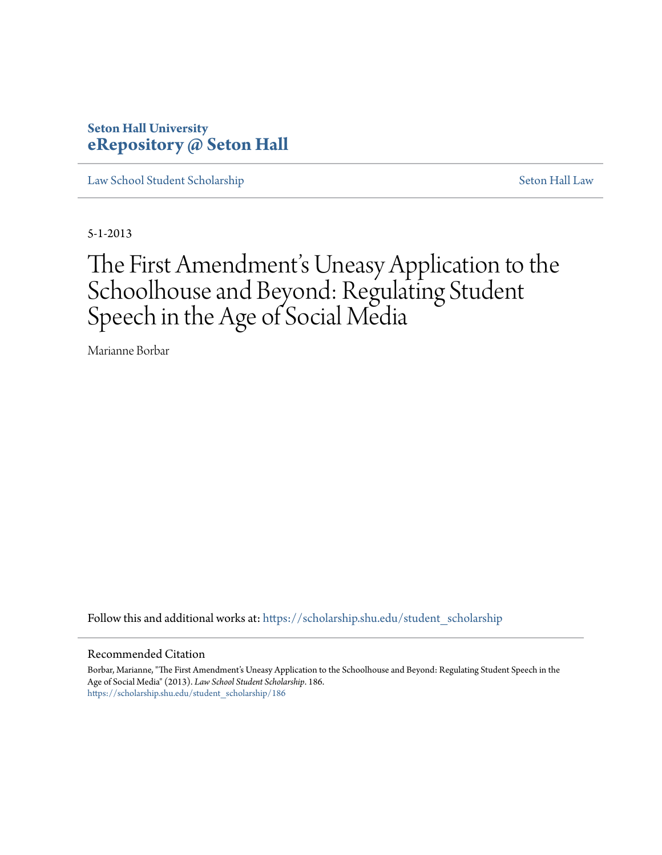### **Seton Hall University [eRepository @ Seton Hall](https://scholarship.shu.edu?utm_source=scholarship.shu.edu%2Fstudent_scholarship%2F186&utm_medium=PDF&utm_campaign=PDFCoverPages)**

[Law School Student Scholarship](https://scholarship.shu.edu/student_scholarship?utm_source=scholarship.shu.edu%2Fstudent_scholarship%2F186&utm_medium=PDF&utm_campaign=PDFCoverPages) [Seton Hall Law](https://scholarship.shu.edu/law?utm_source=scholarship.shu.edu%2Fstudent_scholarship%2F186&utm_medium=PDF&utm_campaign=PDFCoverPages)

5-1-2013

# The First Amendment's Uneasy Application to the Schoolhouse and Beyond: Regulating Student Speech in the Age of Social Media

Marianne Borbar

Follow this and additional works at: [https://scholarship.shu.edu/student\\_scholarship](https://scholarship.shu.edu/student_scholarship?utm_source=scholarship.shu.edu%2Fstudent_scholarship%2F186&utm_medium=PDF&utm_campaign=PDFCoverPages)

#### Recommended Citation

Borbar, Marianne, "The First Amendment's Uneasy Application to the Schoolhouse and Beyond: Regulating Student Speech in the Age of Social Media" (2013). *Law School Student Scholarship*. 186. [https://scholarship.shu.edu/student\\_scholarship/186](https://scholarship.shu.edu/student_scholarship/186?utm_source=scholarship.shu.edu%2Fstudent_scholarship%2F186&utm_medium=PDF&utm_campaign=PDFCoverPages)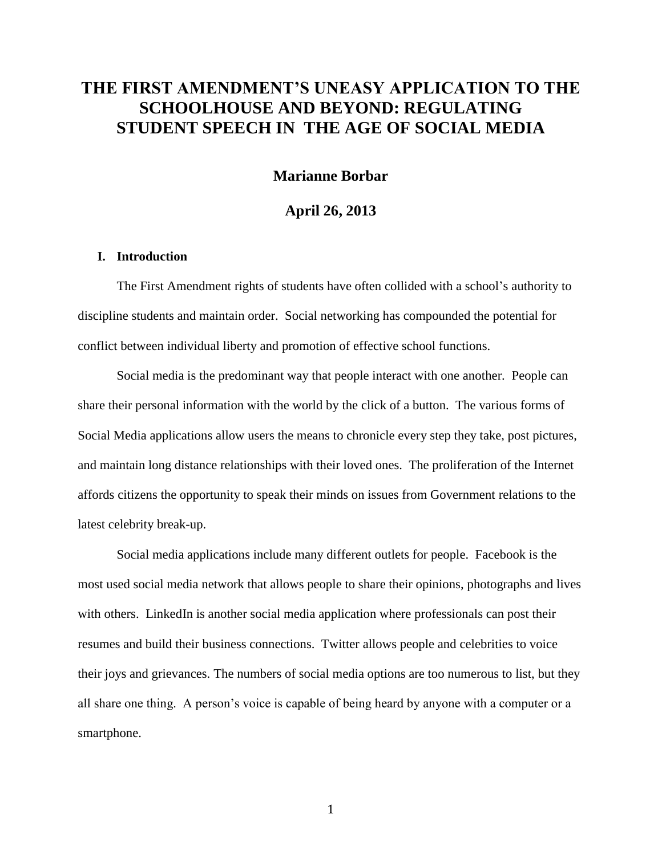### **THE FIRST AMENDMENT'S UNEASY APPLICATION TO THE SCHOOLHOUSE AND BEYOND: REGULATING STUDENT SPEECH IN THE AGE OF SOCIAL MEDIA**

#### **Marianne Borbar**

#### **April 26, 2013**

#### **I. Introduction**

The First Amendment rights of students have often collided with a school's authority to discipline students and maintain order. Social networking has compounded the potential for conflict between individual liberty and promotion of effective school functions.

Social media is the predominant way that people interact with one another. People can share their personal information with the world by the click of a button. The various forms of Social Media applications allow users the means to chronicle every step they take, post pictures, and maintain long distance relationships with their loved ones. The proliferation of the Internet affords citizens the opportunity to speak their minds on issues from Government relations to the latest celebrity break-up.

Social media applications include many different outlets for people. Facebook is the most used social media network that allows people to share their opinions, photographs and lives with others. LinkedIn is another social media application where professionals can post their resumes and build their business connections. Twitter allows people and celebrities to voice their joys and grievances. The numbers of social media options are too numerous to list, but they all share one thing. A person's voice is capable of being heard by anyone with a computer or a smartphone.

1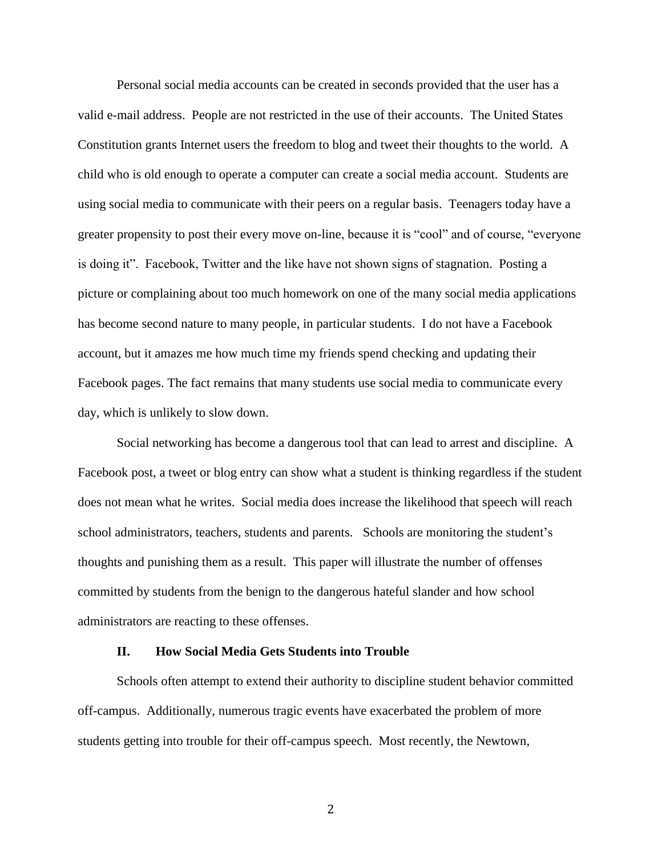Personal social media accounts can be created in seconds provided that the user has a valid e-mail address. People are not restricted in the use of their accounts. The United States Constitution grants Internet users the freedom to blog and tweet their thoughts to the world. A child who is old enough to operate a computer can create a social media account. Students are using social media to communicate with their peers on a regular basis. Teenagers today have a greater propensity to post their every move on-line, because it is "cool" and of course, "everyone is doing it". Facebook, Twitter and the like have not shown signs of stagnation. Posting a picture or complaining about too much homework on one of the many social media applications has become second nature to many people, in particular students. I do not have a Facebook account, but it amazes me how much time my friends spend checking and updating their Facebook pages. The fact remains that many students use social media to communicate every day, which is unlikely to slow down.

Social networking has become a dangerous tool that can lead to arrest and discipline. A Facebook post, a tweet or blog entry can show what a student is thinking regardless if the student does not mean what he writes. Social media does increase the likelihood that speech will reach school administrators, teachers, students and parents. Schools are monitoring the student's thoughts and punishing them as a result. This paper will illustrate the number of offenses committed by students from the benign to the dangerous hateful slander and how school administrators are reacting to these offenses.

#### **II. How Social Media Gets Students into Trouble**

Schools often attempt to extend their authority to discipline student behavior committed off-campus. Additionally, numerous tragic events have exacerbated the problem of more students getting into trouble for their off-campus speech. Most recently, the Newtown,

2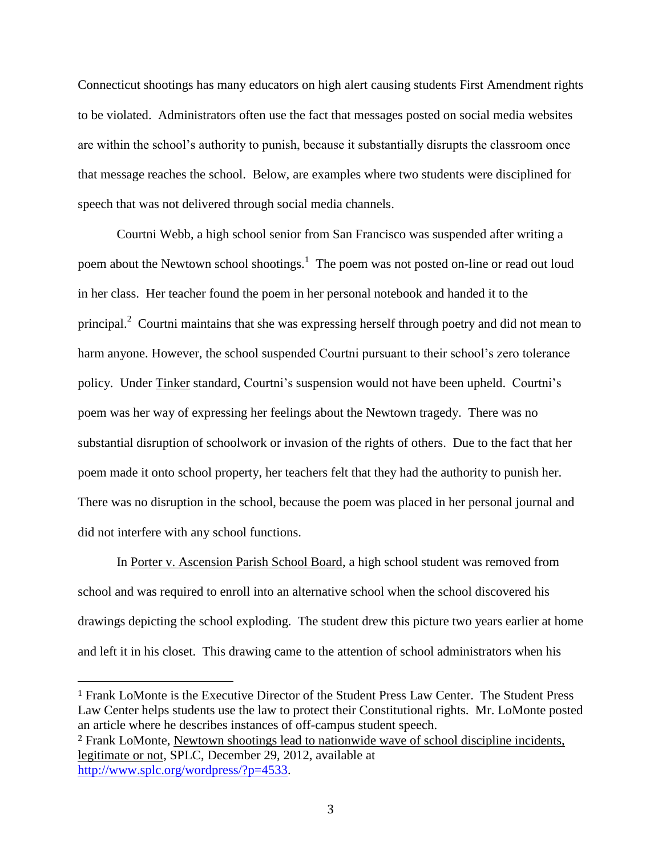Connecticut shootings has many educators on high alert causing students First Amendment rights to be violated. Administrators often use the fact that messages posted on social media websites are within the school's authority to punish, because it substantially disrupts the classroom once that message reaches the school. Below, are examples where two students were disciplined for speech that was not delivered through social media channels.

Courtni Webb, a high school senior from San Francisco was suspended after writing a poem about the Newtown school shootings.<sup>1</sup> The poem was not posted on-line or read out loud in her class. Her teacher found the poem in her personal notebook and handed it to the principal.<sup>2</sup> Courtni maintains that she was expressing herself through poetry and did not mean to harm anyone. However, the school suspended Courtni pursuant to their school's zero tolerance policy. Under Tinker standard, Courtni's suspension would not have been upheld. Courtni's poem was her way of expressing her feelings about the Newtown tragedy. There was no substantial disruption of schoolwork or invasion of the rights of others. Due to the fact that her poem made it onto school property, her teachers felt that they had the authority to punish her. There was no disruption in the school, because the poem was placed in her personal journal and did not interfere with any school functions.

In [Porter](https://1.next.westlaw.com/Document/I199c64d57e7a11d98c82a53fc8ac8757/View/FullText.html?listSource=Search&navigationPath=Search%2fv3%2fsearch%2fresults%2fnavigation%2fi0ad604050000013e23e82156420de885%3fNav%3dCASE%26fragmentIdentifier%3dI199c64d57e7a11d98c82a53fc8ac8757%26startIndex%3d1%26contextData%3d%2528sc.Search%2529%26transitionType%3dSearchItem&list=ALL&rank=1&listPageSource=0c58b9ecbd74d64d2ff2faed2d904235&originationContext=docHeader&contextData=(sc.Search)&transitionType=Document&docSource=ef6dac5394414654822a2332d1eaadca) v. Ascension Parish School Board, a high school student was removed from school and was required to enroll into an alternative school when the school discovered his drawings depicting the school exploding. The student drew this picture two years earlier at home and left it in his closet. This drawing came to the attention of school administrators when his

<sup>1</sup> Frank LoMonte is the Executive Director of the Student Press Law Center. The Student Press Law Center helps students use the law to protect their Constitutional rights. Mr. LoMonte posted an article where he describes instances of off-campus student speech. <sup>2</sup> Frank LoMonte, Newtown shootings lead to nationwide wave of school discipline incidents,

legitimate or not, SPLC, December 29, 2012, available at [http://www.splc.org/wordpress/?p=4533.](http://www.splc.org/wordpress/?p=4533)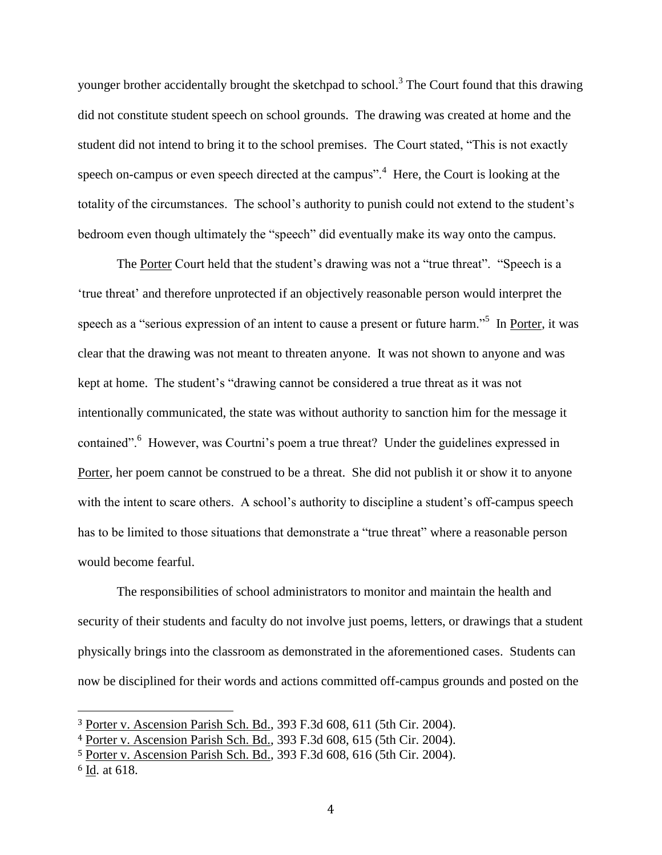younger brother accidentally brought the sketchpad to school.<sup>3</sup> The Court found that this drawing did not constitute student speech on school grounds. The drawing was created at home and the student did not intend to bring it to the school premises. The Court stated, "This is not exactly speech on-campus or even speech directed at the campus".<sup>4</sup> Here, the Court is looking at the totality of the circumstances. The school's authority to punish could not extend to the student's bedroom even though ultimately the "speech" did eventually make its way onto the campus.

The Porter Court held that the student's drawing was not a "true threat". "Speech is a 'true threat' and therefore unprotected if an objectively reasonable person would interpret the speech as a "serious expression of an intent to cause a present or future harm."<sup>5</sup> In Porter, it was clear that the drawing was not meant to threaten anyone. It was not shown to anyone and was kept at home. The student's "drawing cannot be considered a true threat as it was not intentionally communicated, the state was without authority to sanction him for the message it contained".<sup>6</sup> However, was Courtni's poem a true threat? Under the guidelines expressed in Porter, her poem cannot be construed to be a threat. She did not publish it or show it to anyone with the intent to scare others. A school's authority to discipline a student's off-campus speech has to be limited to those situations that demonstrate a "true threat" where a reasonable person would become fearful.

The responsibilities of school administrators to monitor and maintain the health and security of their students and faculty do not involve just poems, letters, or drawings that a student physically brings into the classroom as demonstrated in the aforementioned cases. Students can now be disciplined for their words and actions committed off-campus grounds and posted on the

<sup>3</sup> Porter v. Ascension Parish Sch. Bd., 393 F.3d 608, 611 (5th Cir. 2004).

<sup>4</sup> Porter v. Ascension Parish Sch. Bd., 393 F.3d 608, 615 (5th Cir. 2004).

<sup>5</sup> Porter v. Ascension Parish Sch. Bd., 393 F.3d 608, 616 (5th Cir. 2004).

<sup>6</sup> Id. at 618.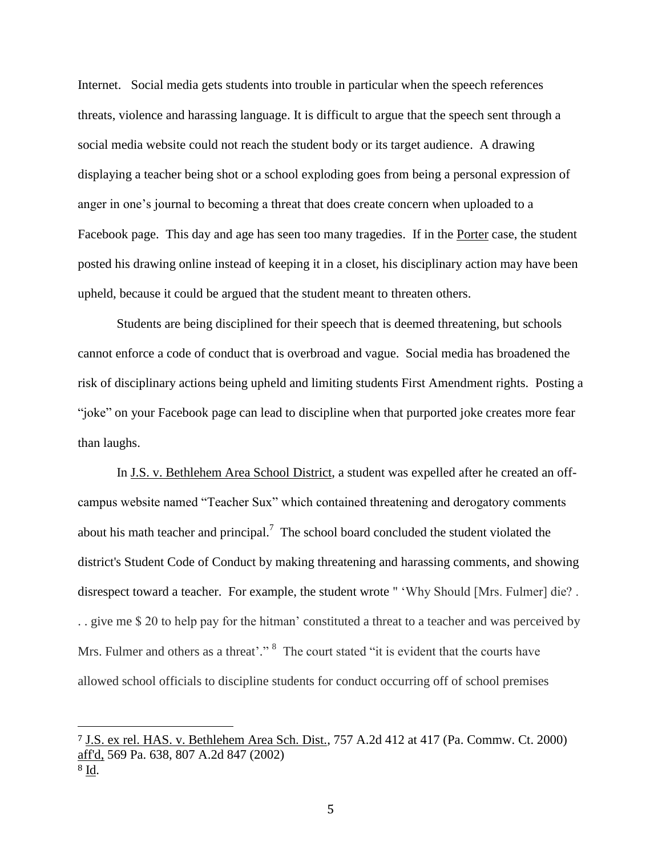Internet. Social media gets students into trouble in particular when the speech references threats, violence and harassing language. It is difficult to argue that the speech sent through a social media website could not reach the student body or its target audience. A drawing displaying a teacher being shot or a school exploding goes from being a personal expression of anger in one's journal to becoming a threat that does create concern when uploaded to a Facebook page. This day and age has seen too many tragedies. If in the Porter case, the student posted his drawing online instead of keeping it in a closet, his disciplinary action may have been upheld, because it could be argued that the student meant to threaten others.

Students are being disciplined for their speech that is deemed threatening, but schools cannot enforce a code of conduct that is overbroad and vague. Social media has broadened the risk of disciplinary actions being upheld and limiting students First Amendment rights. Posting a "joke" on your Facebook page can lead to discipline when that purported joke creates more fear than laughs.

In J.S. v. Bethlehem Area School District, a student was expelled after he created an offcampus website named "Teacher Sux" which contained threatening and derogatory comments about his math teacher and principal.<sup>7</sup> The school board concluded the student violated the district's Student Code of Conduct by making threatening and harassing comments, and showing disrespect toward a teacher. For example, the student wrote " 'Why Should [Mrs. Fulmer] die? . . . give me \$ 20 to help pay for the hitman' constituted a threat to a teacher and was perceived by Mrs. Fulmer and others as a threat'."<sup>8</sup> The court stated "it is evident that the courts have allowed school officials to discipline students for conduct occurring off of school premises

<sup>7</sup> J.S. ex rel. HAS. v. Bethlehem Area Sch. Dist., 757 A.2d 412 at 417 (Pa. Commw. Ct. 2000) aff'd, 569 Pa. 638, 807 A.2d 847 (2002) <sup>8</sup> Id.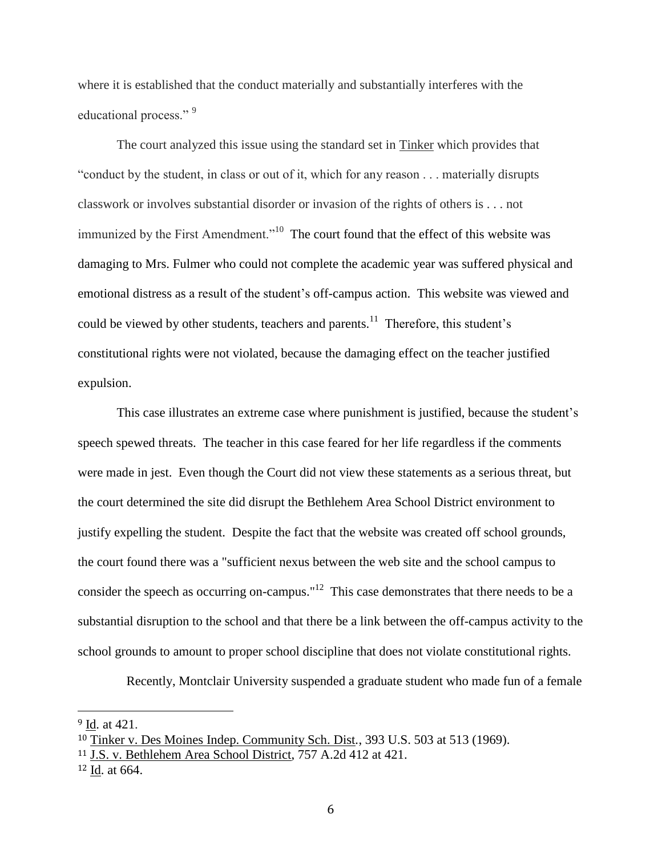where it is established that the conduct materially and substantially interferes with the educational process."<sup>9</sup>

The court analyzed this issue using the standard set in Tinker which provides that "conduct by the student, in class or out of it, which for any reason . . . materially disrupts classwork or involves substantial disorder or invasion of the rights of others is . . . not immunized by the First Amendment."<sup>10</sup> The court found that the effect of this website was damaging to Mrs. Fulmer who could not complete the academic year was suffered physical and emotional distress as a result of the student's off-campus action. This website was viewed and could be viewed by other students, teachers and parents.<sup>11</sup> Therefore, this student's constitutional rights were not violated, because the damaging effect on the teacher justified expulsion.

This case illustrates an extreme case where punishment is justified, because the student's speech spewed threats. The teacher in this case feared for her life regardless if the comments were made in jest. Even though the Court did not view these statements as a serious threat, but the court determined the site did disrupt the Bethlehem Area School District environment to justify expelling the student. Despite the fact that the website was created off school grounds, the court found there was a "sufficient nexus between the web site and the school campus to consider the speech as occurring on-campus."<sup>12</sup> This case demonstrates that there needs to be a substantial disruption to the school and that there be a link between the off-campus activity to the school grounds to amount to proper school discipline that does not violate constitutional rights.

Recently, Montclair University suspended a graduate student who made fun of a female

<sup>9</sup> Id. at 421.

<sup>10</sup> Tinker v. Des Moines Indep. Community Sch. Dist*.*, 393 U.S. 503 at 513 (1969).

<sup>11</sup> J.S. v. Bethlehem Area School District, 757 A.2d 412 at 421.

<sup>12</sup> Id. at 664.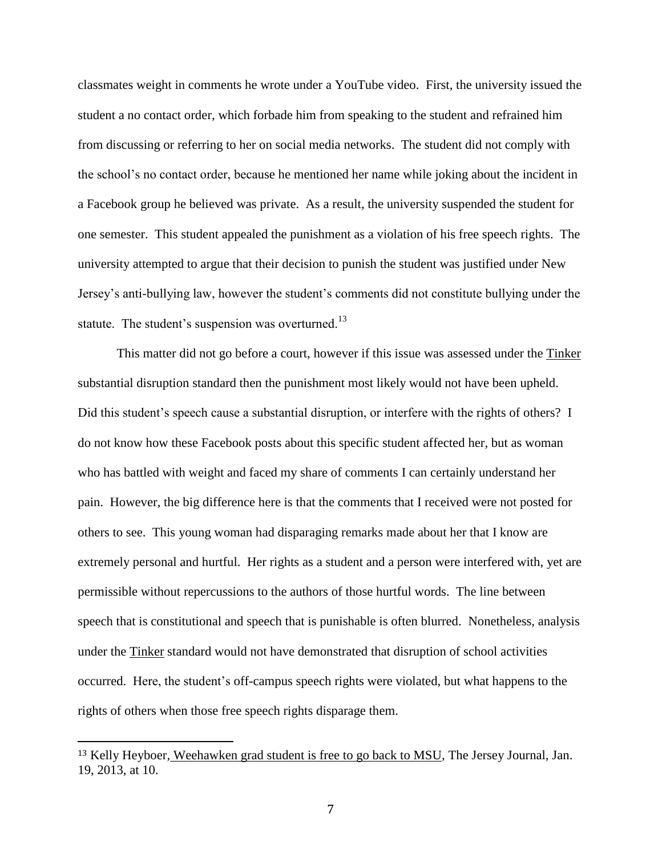classmates weight in comments he wrote under a YouTube video. First, the university issued the student a no contact order, which forbade him from speaking to the student and refrained him from discussing or referring to her on social media networks. The student did not comply with the school's no contact order, because he mentioned her name while joking about the incident in a Facebook group he believed was private. As a result, the university suspended the student for one semester. This student appealed the punishment as a violation of his free speech rights. The university attempted to argue that their decision to punish the student was justified under New Jersey's anti-bullying law, however the student's comments did not constitute bullying under the statute. The student's suspension was overturned.<sup>13</sup>

This matter did not go before a court, however if this issue was assessed under the Tinker substantial disruption standard then the punishment most likely would not have been upheld. Did this student's speech cause a substantial disruption, or interfere with the rights of others? I do not know how these Facebook posts about this specific student affected her, but as woman who has battled with weight and faced my share of comments I can certainly understand her pain. However, the big difference here is that the comments that I received were not posted for others to see. This young woman had disparaging remarks made about her that I know are extremely personal and hurtful. Her rights as a student and a person were interfered with, yet are permissible without repercussions to the authors of those hurtful words. The line between speech that is constitutional and speech that is punishable is often blurred. Nonetheless, analysis under the Tinker standard would not have demonstrated that disruption of school activities occurred. Here, the student's off-campus speech rights were violated, but what happens to the rights of others when those free speech rights disparage them.

<sup>&</sup>lt;sup>13</sup> Kelly Heyboer, Weehawken grad student is free to go back to MSU, The Jersey Journal, Jan. 19, 2013, at 10.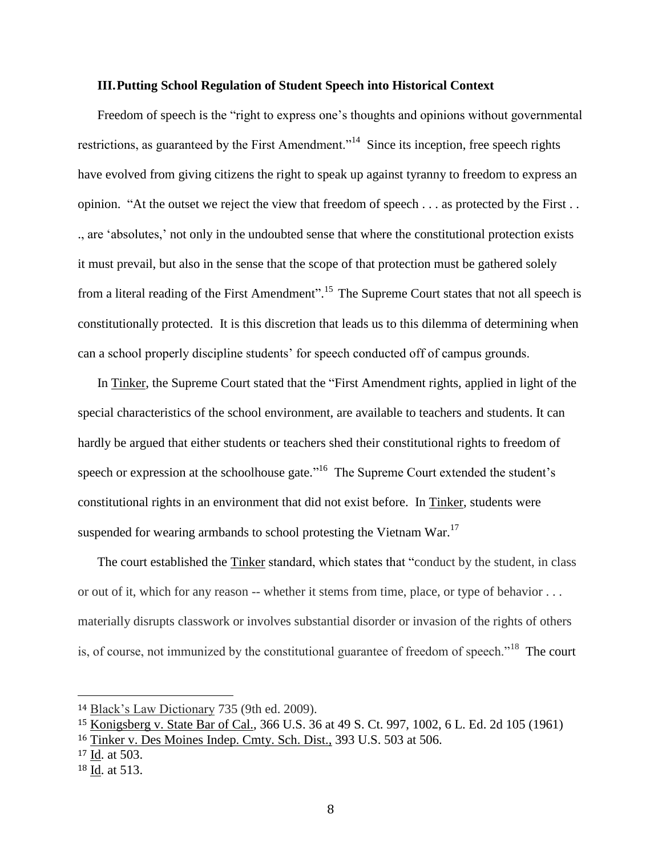#### **III.Putting School Regulation of Student Speech into Historical Context**

Freedom of speech is the "right to express one's thoughts and opinions without governmental restrictions, as guaranteed by the First Amendment."<sup>14</sup> Since its inception, free speech rights have evolved from giving citizens the right to speak up against tyranny to freedom to express an opinion. "At the outset we reject the view that freedom of speech . . . as protected by the First . . ., are 'absolutes,' not only in the undoubted sense that where the constitutional protection exists it must prevail, but also in the sense that the scope of that protection must be gathered solely from a literal reading of the First Amendment".<sup>15</sup> The Supreme Court states that not all speech is constitutionally protected. It is this discretion that leads us to this dilemma of determining when can a school properly discipline students' for speech conducted off of campus grounds.

In Tinker, the Supreme Court stated that the "First Amendment rights, applied in light of the special characteristics of the school environment, are available to teachers and students. It can hardly be argued that either students or teachers shed their constitutional rights to freedom of speech or expression at the schoolhouse gate."<sup>16</sup> The Supreme Court extended the student's constitutional rights in an environment that did not exist before. In Tinker, students were suspended for wearing armbands to school protesting the Vietnam War.<sup>17</sup>

The court established the Tinker standard, which states that "conduct by the student, in class or out of it, which for any reason -- whether it stems from time, place, or type of behavior . . . materially disrupts classwork or involves substantial disorder or invasion of the rights of others is, of course, not immunized by the constitutional guarantee of freedom of speech."<sup>18</sup> The court

<sup>14</sup> Black's Law Dictionary 735 (9th ed. 2009).

<sup>15</sup> Konigsberg v. State Bar of Cal., 366 U.S. 36 at 49 S. Ct. 997, 1002, 6 L. Ed. 2d 105 (1961)

<sup>16</sup> Tinker v. Des Moines Indep. Cmty. Sch. Dist., 393 U.S. 503 at 506.

<sup>17</sup> Id. at 503.

<sup>18</sup> Id. at 513.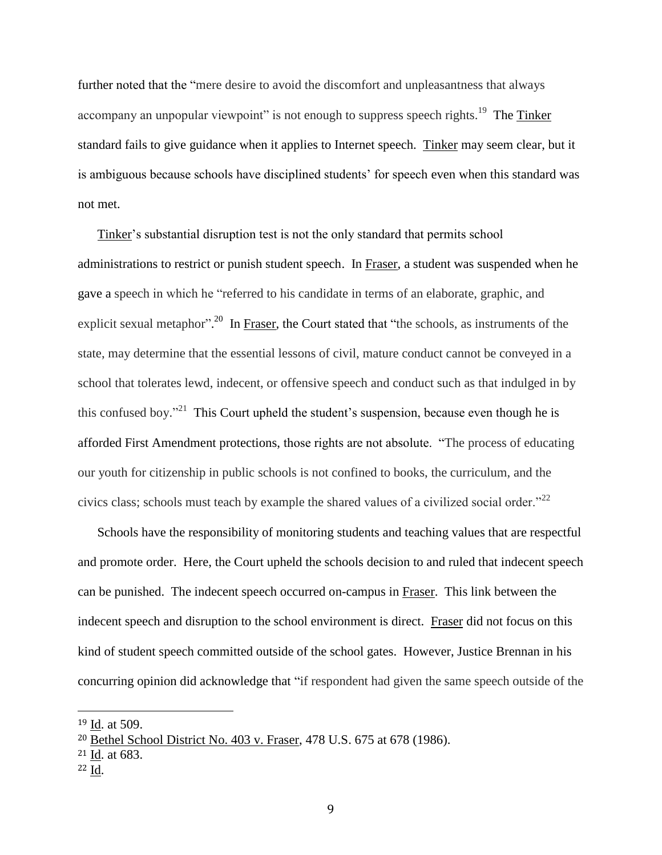further noted that the "mere desire to avoid the discomfort and unpleasantness that always accompany an unpopular viewpoint" is not enough to suppress speech rights.<sup>19</sup> The Tinker standard fails to give guidance when it applies to Internet speech. Tinker may seem clear, but it is ambiguous because schools have disciplined students' for speech even when this standard was not met.

Tinker's substantial disruption test is not the only standard that permits school administrations to restrict or punish student speech. In Fraser, a student was suspended when he gave a speech in which he "referred to his candidate in terms of an elaborate, graphic, and explicit sexual metaphor".<sup>20</sup> In Fraser, the Court stated that "the schools, as instruments of the state, may determine that the essential lessons of civil, mature conduct cannot be conveyed in a school that tolerates lewd, indecent, or offensive speech and conduct such as that indulged in by this confused boy.<sup>"21</sup> This Court upheld the student's suspension, because even though he is afforded First Amendment protections, those rights are not absolute. "The process of educating our youth for citizenship in public schools is not confined to books, the curriculum, and the civics class; schools must teach by example the shared values of a civilized social order." $^{22}$ 

Schools have the responsibility of monitoring students and teaching values that are respectful and promote order. Here, the Court upheld the schools decision to and ruled that indecent speech can be punished. The indecent speech occurred on-campus in Fraser. This link between the indecent speech and disruption to the school environment is direct. Fraser did not focus on this kind of student speech committed outside of the school gates. However, Justice Brennan in his concurring opinion did acknowledge that "if respondent had given the same speech outside of the

<sup>19</sup> Id. at 509.

<sup>20</sup> Bethel School District No. 403 v. Fraser, 478 U.S. 675 at 678 (1986).

<sup>21</sup> Id. at 683.

<sup>22</sup> Id.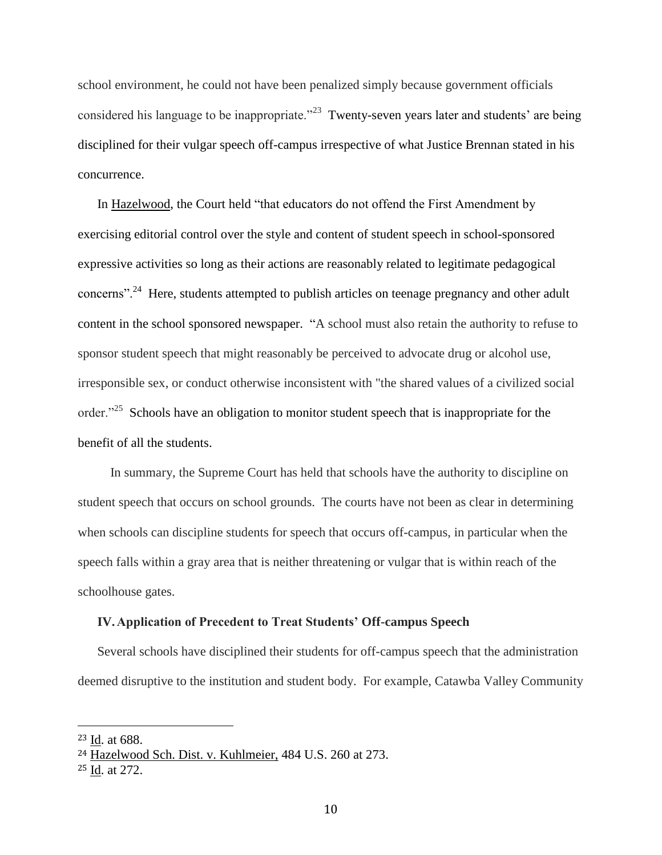school environment, he could not have been penalized simply because government officials considered his language to be inappropriate.<sup>223</sup> Twenty-seven years later and students' are being disciplined for their vulgar speech off-campus irrespective of what Justice Brennan stated in his concurrence.

In Hazelwood, the Court held "that educators do not offend the First Amendment by exercising editorial control over the style and content of student speech in school-sponsored expressive activities so long as their actions are reasonably related to legitimate pedagogical concerns"<sup>24</sup>. Here, students attempted to publish articles on teenage pregnancy and other adult content in the school sponsored newspaper. "A school must also retain the authority to refuse to sponsor student speech that might reasonably be perceived to advocate drug or alcohol use, irresponsible sex, or conduct otherwise inconsistent with "the shared values of a civilized social order. $125$  Schools have an obligation to monitor student speech that is inappropriate for the benefit of all the students.

 In summary, the Supreme Court has held that schools have the authority to discipline on student speech that occurs on school grounds. The courts have not been as clear in determining when schools can discipline students for speech that occurs off-campus, in particular when the speech falls within a gray area that is neither threatening or vulgar that is within reach of the schoolhouse gates.

#### **IV.Application of Precedent to Treat Students' Off-campus Speech**

Several schools have disciplined their students for off-campus speech that the administration deemed disruptive to the institution and student body. For example, Catawba Valley Community

<sup>23</sup> Id. at 688.

<sup>24</sup> Hazelwood Sch. Dist. v. Kuhlmeier, 484 U.S. 260 at 273.

<sup>25</sup> Id. at 272.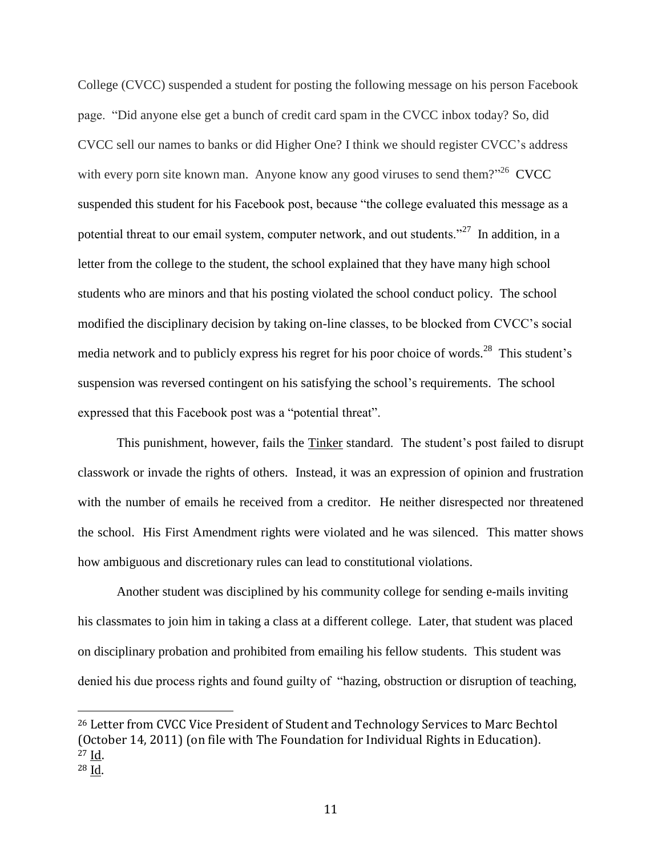College (CVCC) suspended a student for posting the following message on his person Facebook page. "Did anyone else get a bunch of credit card spam in the CVCC inbox today? So, did CVCC sell our names to banks or did Higher One? I think we should register CVCC's address with every porn site known man. Anyone know any good viruses to send them? $2^{326}$  CVCC suspended this student for his Facebook post, because "the college evaluated this message as a potential threat to our email system, computer network, and out students."<sup>27</sup> In addition, in a letter from the college to the student, the school explained that they have many high school students who are minors and that his posting violated the school conduct policy. The school modified the disciplinary decision by taking on-line classes, to be blocked from CVCC's social media network and to publicly express his regret for his poor choice of words.<sup>28</sup> This student's suspension was reversed contingent on his satisfying the school's requirements. The school expressed that this Facebook post was a "potential threat".

This punishment, however, fails the Tinker standard. The student's post failed to disrupt classwork or invade the rights of others. Instead, it was an expression of opinion and frustration with the number of emails he received from a creditor. He neither disrespected nor threatened the school. His First Amendment rights were violated and he was silenced. This matter shows how ambiguous and discretionary rules can lead to constitutional violations.

Another student was disciplined by his community college for sending e-mails inviting his classmates to join him in taking a class at a different college. Later, that student was placed on disciplinary probation and prohibited from emailing his fellow students. This student was denied his due process rights and found guilty of "hazing, obstruction or disruption of teaching,

<sup>26</sup> Letter from CVCC Vice President of Student and Technology Services to Marc Bechtol (October 14, 2011) (on file with The Foundation for Individual Rights in Education). <sup>27</sup> Id. <sup>28</sup> Id.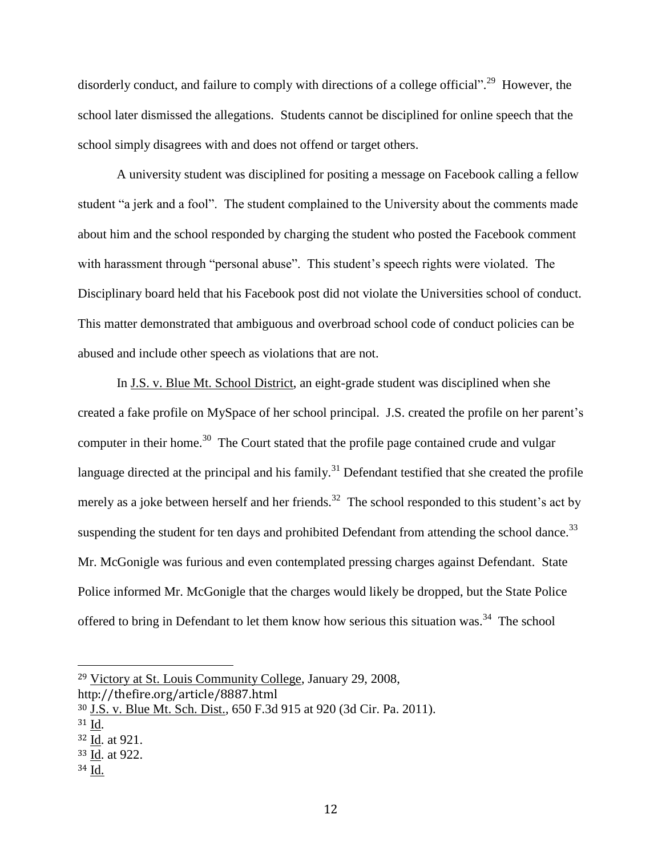disorderly conduct, and failure to comply with directions of a college official".<sup>29</sup> However, the school later dismissed the allegations. Students cannot be disciplined for online speech that the school simply disagrees with and does not offend or target others.

A university student was disciplined for positing a message on Facebook calling a fellow student "a jerk and a fool". The student complained to the University about the comments made about him and the school responded by charging the student who posted the Facebook comment with harassment through "personal abuse". This student's speech rights were violated. The Disciplinary board held that his Facebook post did not violate the Universities school of conduct. This matter demonstrated that ambiguous and overbroad school code of conduct policies can be abused and include other speech as violations that are not.

In J.S. v. Blue Mt. School District, an eight-grade student was disciplined when she created a fake profile on MySpace of her school principal. J.S. created the profile on her parent's computer in their home.<sup>30</sup> The Court stated that the profile page contained crude and vulgar language directed at the principal and his family.<sup>31</sup> Defendant testified that she created the profile merely as a joke between herself and her friends.<sup>32</sup> The school responded to this student's act by suspending the student for ten days and prohibited Defendant from attending the school dance.<sup>33</sup> Mr. McGonigle was furious and even contemplated pressing charges against Defendant. State Police informed Mr. McGonigle that the charges would likely be dropped, but the State Police offered to bring in Defendant to let them know how serious this situation was.<sup>34</sup> The school

<sup>29</sup> Victory at St. Louis Community College, January 29, 2008,

http://thefire.org/article/8887.html

<sup>30</sup> [J.S. v. Blue Mt. Sch. Dist., 650 F.3d 915 at 920](https://advance.lexis.com/api/document/collection/cases/id/5334-VJH1-F04K-K0FH-00000-00?page=920&reporter=1107&context=1000516) (3d Cir. Pa. 2011).

<sup>31</sup> Id.

<sup>32</sup> Id. at 921.

<sup>33</sup> Id. at 922.

<sup>34</sup> Id.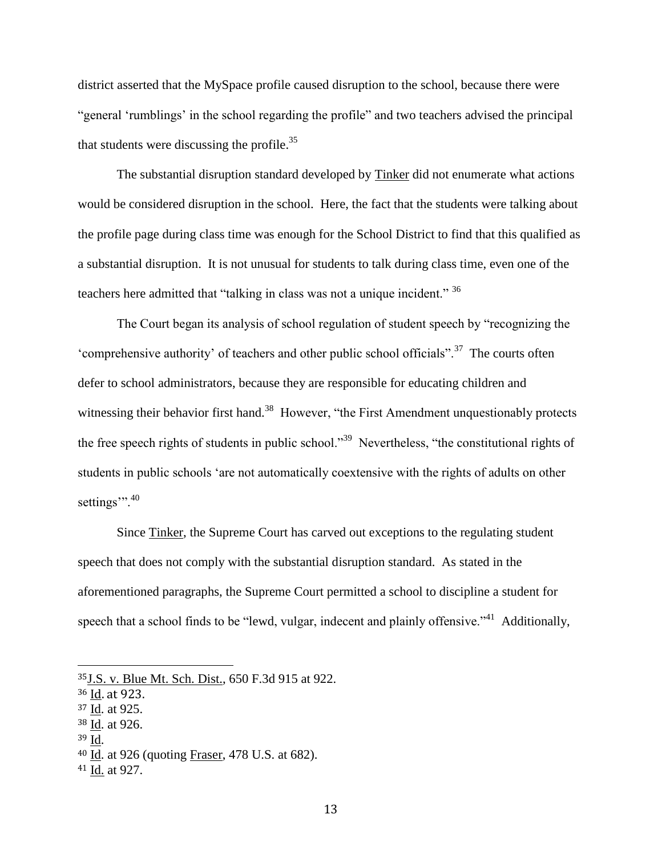district asserted that the MySpace profile caused disruption to the school, because there were "general 'rumblings' in the school regarding the profile" and two teachers advised the principal that students were discussing the profile. $35$ 

The substantial disruption standard developed by Tinker did not enumerate what actions would be considered disruption in the school. Here, the fact that the students were talking about the profile page during class time was enough for the School District to find that this qualified as a substantial disruption. It is not unusual for students to talk during class time, even one of the teachers here admitted that "talking in class was not a unique incident." <sup>36</sup>

The Court began its analysis of school regulation of student speech by "recognizing the 'comprehensive authority' of teachers and other public school officials".<sup>37</sup> The courts often defer to school administrators, because they are responsible for educating children and witnessing their behavior first hand.<sup>38</sup> However, "the First Amendment unquestionably protects the free speech rights of students in public school."<sup>39</sup> Nevertheless, "the constitutional rights of students in public schools 'are not automatically coextensive with the rights of adults on other settings".<sup>40</sup>

Since Tinker, the Supreme Court has carved out exceptions to the regulating student speech that does not comply with the substantial disruption standard. As stated in the aforementioned paragraphs, the Supreme Court permitted a school to discipline a student for speech that a school finds to be "lewd, vulgar, indecent and plainly offensive."<sup>41</sup> Additionally,

- <sup>38</sup> Id. at 926.
- <sup>39</sup> Id.

<sup>35</sup>[J.S. v. Blue Mt. Sch. Dist., 650 F.3d 915 at 922.](https://advance.lexis.com/api/document/collection/cases/id/5334-VJH1-F04K-K0FH-00000-00?page=920&reporter=1107&context=1000516) 

<sup>36</sup> Id. at 923.

<sup>37</sup> Id. at 925.

<sup>40</sup> Id. at 926 (quoting Fraser, 478 U.S. at 682).

<sup>41</sup> Id. at 927.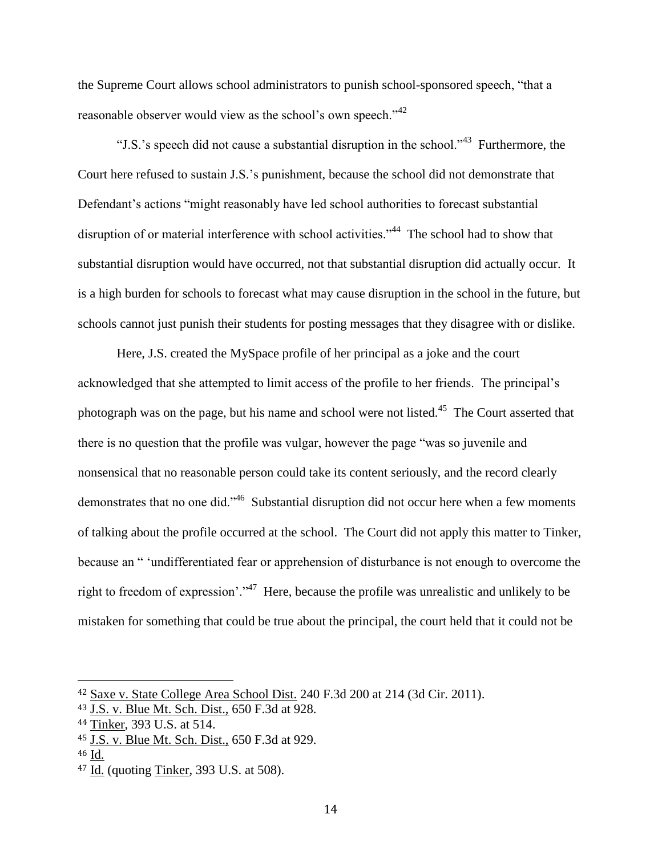the Supreme Court allows school administrators to punish school-sponsored speech, "that a reasonable observer would view as the school's own speech."<sup>42</sup>

"J.S.'s speech did not cause a substantial disruption in the school."<sup>43</sup> Furthermore, the Court here refused to sustain J.S.'s punishment, because the school did not demonstrate that Defendant's actions "might reasonably have led school authorities to forecast substantial disruption of or material interference with school activities."<sup>44</sup> The school had to show that substantial disruption would have occurred, not that substantial disruption did actually occur. It is a high burden for schools to forecast what may cause disruption in the school in the future, but schools cannot just punish their students for posting messages that they disagree with or dislike.

Here, J.S. created the MySpace profile of her principal as a joke and the court acknowledged that she attempted to limit access of the profile to her friends. The principal's photograph was on the page, but his name and school were not listed.<sup>45</sup> The Court asserted that there is no question that the profile was vulgar, however the page "was so juvenile and nonsensical that no reasonable person could take its content seriously, and the record clearly demonstrates that no one did."<sup>46</sup> Substantial disruption did not occur here when a few moments of talking about the profile occurred at the school. The Court did not apply this matter to Tinker, because an " 'undifferentiated fear or apprehension of disturbance is not enough to overcome the right to freedom of expression'."<sup>47</sup> Here, because the profile was unrealistic and unlikely to be mistaken for something that could be true about the principal, the court held that it could not be

<sup>42</sup> [Saxe v. State College Area School Dist.](https://1.next.westlaw.com/Document/Ie85d703679a611d99c4dbb2f0352441d/View/FullText.html?listSource=Search&navigationPath=Search%2fv3%2fsearch%2fresults%2fnavigation%2fi0ad705240000013dcb48f49af76ecc37%3fNav%3dCASE%26fragmentIdentifier%3dIe85d703679a611d99c4dbb2f0352441d%26startIndex%3d1%26contextData%3d%2528sc.Search%2529%26transitionType%3dSearchItem&list=ALL&rank=1&listPageSource=8f1b3919165921f807dbb85db712bd05&originationContext=docHeader&contextData=(sc.Search)&transitionType=Document&docSource=2b06cbdd33294ec591e87ad999ed95ed) 240 F.3d 200 at 214 (3d Cir. 2011).

<sup>43</sup> J.S. v. Blue Mt. Sch. Dist., 650 F.3d at 928.

<sup>44</sup> Tinker, 393 U.S. at 514.

<sup>45</sup> J.S. v. Blue Mt. Sch. Dist., 650 F.3d at 929.

<sup>46</sup> Id.

<sup>47</sup> Id. (quoting Tinker, 393 U.S. at 508).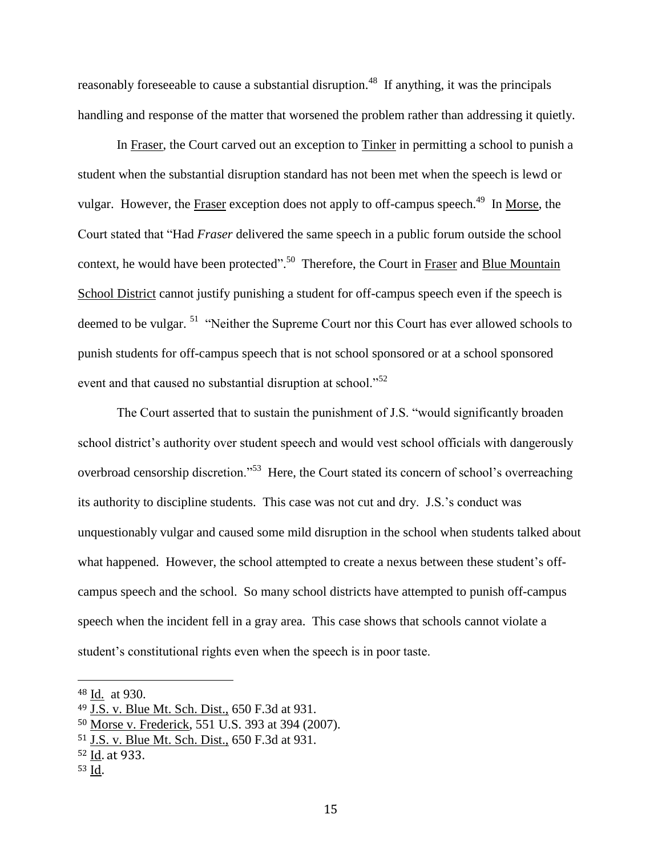reasonably foreseeable to cause a substantial disruption.<sup>48</sup> If anything, it was the principals handling and response of the matter that worsened the problem rather than addressing it quietly.

In Fraser, the Court carved out an exception to Tinker in permitting a school to punish a student when the substantial disruption standard has not been met when the speech is lewd or vulgar. However, the Fraser exception does not apply to off-campus speech.<sup>49</sup> In Morse, the Court stated that "Had *Fraser* delivered the same speech in a public forum outside the school context, he would have been protected".<sup>50</sup> Therefore, the Court in Fraser and Blue Mountain School District cannot justify punishing a student for off-campus speech even if the speech is deemed to be vulgar.<sup>51</sup> "Neither the Supreme Court nor this Court has ever allowed schools to punish students for off-campus speech that is not school sponsored or at a school sponsored event and that caused no substantial disruption at school."<sup>52</sup>

The Court asserted that to sustain the punishment of J.S. "would significantly broaden school district's authority over student speech and would vest school officials with dangerously overbroad censorship discretion."<sup>53</sup> Here, the Court stated its concern of school's overreaching its authority to discipline students. This case was not cut and dry. J.S.'s conduct was unquestionably vulgar and caused some mild disruption in the school when students talked about what happened. However, the school attempted to create a nexus between these student's offcampus speech and the school. So many school districts have attempted to punish off-campus speech when the incident fell in a gray area. This case shows that schools cannot violate a student's constitutional rights even when the speech is in poor taste.

<sup>48</sup> Id. at 930.

<sup>49</sup> J.S. v. Blue Mt. Sch. Dist., 650 F.3d at 931.

<sup>50</sup> Morse v. Frederick, 551 U.S. 393 at 394 (2007).

<sup>51</sup> J.S. v. Blue Mt. Sch. Dist., 650 F.3d at 931.

<sup>52</sup> Id. at 933.

<sup>53</sup> Id.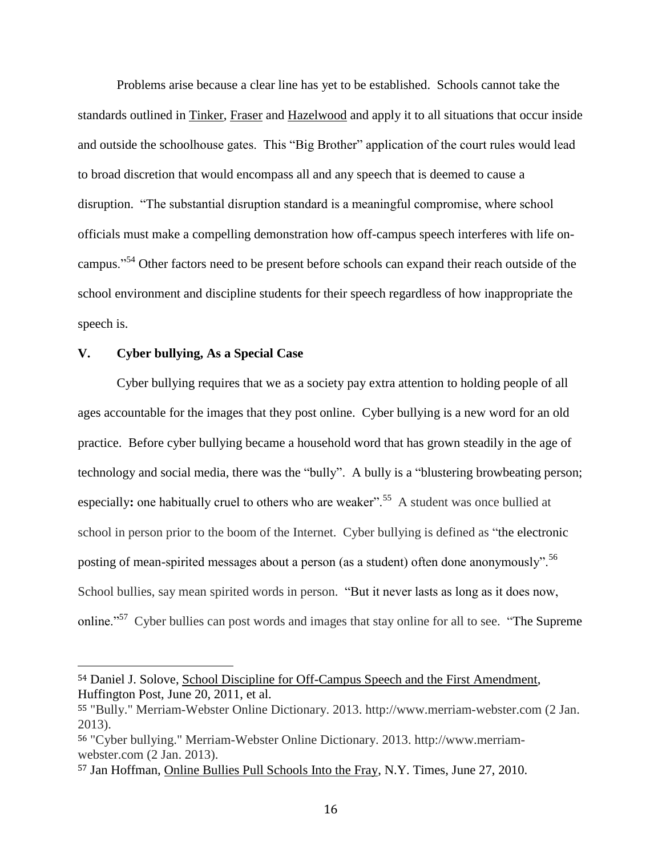Problems arise because a clear line has yet to be established. Schools cannot take the standards outlined in Tinker, Fraser and Hazelwood and apply it to all situations that occur inside and outside the schoolhouse gates. This "Big Brother" application of the court rules would lead to broad discretion that would encompass all and any speech that is deemed to cause a disruption. "The substantial disruption standard is a meaningful compromise, where school officials must make a compelling demonstration how off-campus speech interferes with life oncampus."<sup>54</sup> Other factors need to be present before schools can expand their reach outside of the school environment and discipline students for their speech regardless of how inappropriate the speech is.

#### **V. Cyber bullying, As a Special Case**

l

Cyber bullying requires that we as a society pay extra attention to holding people of all ages accountable for the images that they post online. Cyber bullying is a new word for an old practice. Before cyber bullying became a household word that has grown steadily in the age of technology and social media, there was the "bully". A bully is a "blustering browbeating person; especially: one habitually cruel to others who are weaker<sup>".55</sup> A student was once bullied at school in person prior to the boom of the Internet. Cyber bullying is defined as "the electronic posting of mean-spirited messages about a person (as a student) often done anonymously".<sup>56</sup> School bullies, say mean spirited words in person. "But it never lasts as long as it does now, online."<sup>57</sup> Cyber bullies can post words and images that stay online for all to see. "The Supreme

<sup>54</sup> Daniel J. Solove, School Discipline for Off-Campus Speech and the First Amendment, Huffington Post, June 20, 2011, et al.

<sup>55</sup> "Bully." Merriam-Webster Online Dictionary. 2013. http://www.merriam-webster.com (2 Jan. 2013).

<sup>56</sup> "Cyber bullying." Merriam-Webster Online Dictionary. 2013. http://www.merriamwebster.com (2 Jan. 2013).

<sup>57</sup> Jan Hoffman, Online Bullies Pull Schools Into the Fray, N.Y. Times, June 27, 2010.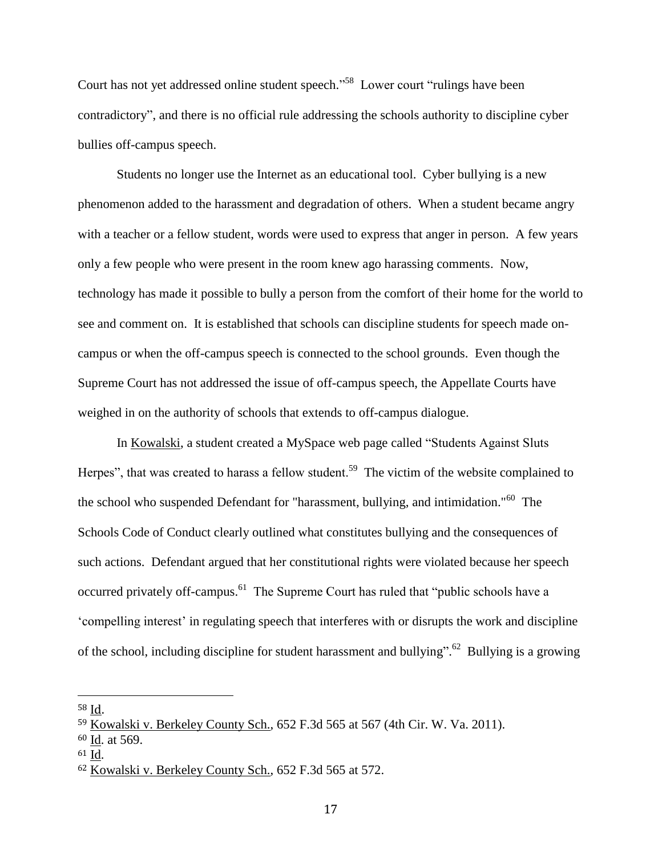Court has not yet addressed online student speech."<sup>58</sup> Lower court "rulings have been contradictory", and there is no official rule addressing the schools authority to discipline cyber bullies off-campus speech.

Students no longer use the Internet as an educational tool. Cyber bullying is a new phenomenon added to the harassment and degradation of others. When a student became angry with a teacher or a fellow student, words were used to express that anger in person. A few years only a few people who were present in the room knew ago harassing comments. Now, technology has made it possible to bully a person from the comfort of their home for the world to see and comment on. It is established that schools can discipline students for speech made oncampus or when the off-campus speech is connected to the school grounds. Even though the Supreme Court has not addressed the issue of off-campus speech, the Appellate Courts have weighed in on the authority of schools that extends to off-campus dialogue.

In Kowalski, a student created a MySpace web page called "Students Against Sluts Herpes", that was created to harass a fellow student.<sup>59</sup> The victim of the website complained to the school who suspended Defendant for "harassment, bullying, and intimidation."<sup>60</sup> The Schools Code of Conduct clearly outlined what constitutes bullying and the consequences of such actions. Defendant argued that her constitutional rights were violated because her speech occurred privately off-campus.<sup>61</sup> The Supreme Court has ruled that "public schools have a 'compelling interest' in regulating speech that interferes with or disrupts the work and discipline of the school, including discipline for student harassment and bullying".<sup>62</sup> Bullying is a growing

<sup>58</sup> Id.

<sup>59</sup> [Kowalski v. Berkeley County Sch., 652 F.3d 565 at 567 \(4th Cir. W. Va. 2011\).](https://advance.lexis.com/api/document/collection/cases/id/82TJ-SGR1-652R-225G-00000-00?page=572&reporter=1107&context=1000516)

<sup>60</sup> Id. at 569.

<sup>61</sup> Id.

<sup>62</sup> [Kowalski v. Berkeley County Sch., 652 F.3d 565 at 572.](https://advance.lexis.com/api/document/collection/cases/id/82TJ-SGR1-652R-225G-00000-00?page=572&reporter=1107&context=1000516)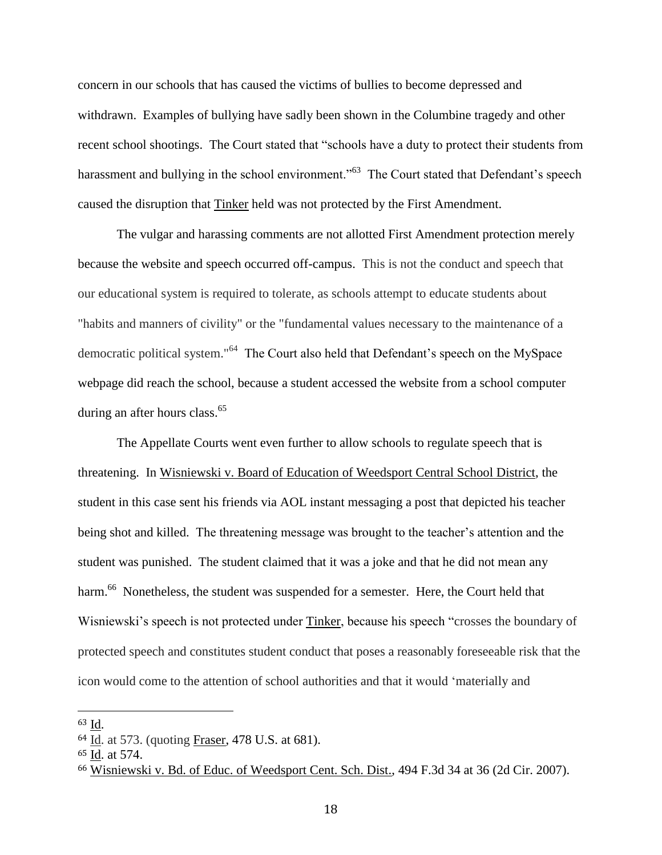concern in our schools that has caused the victims of bullies to become depressed and withdrawn. Examples of bullying have sadly been shown in the Columbine tragedy and other recent school shootings. The Court stated that "schools have a duty to protect their students from harassment and bullying in the school environment.<sup>563</sup> The Court stated that Defendant's speech caused the disruption that Tinker held was not protected by the First Amendment.

The vulgar and harassing comments are not allotted First Amendment protection merely because the website and speech occurred off-campus. This is not the conduct and speech that our educational system is required to tolerate, as schools attempt to educate students about "habits and manners of civility" or the "fundamental values necessary to the maintenance of a democratic political system."<sup>64</sup> The Court also held that Defendant's speech on the MySpace webpage did reach the school, because a student accessed the website from a school computer during an after hours class.<sup>65</sup>

The Appellate Courts went even further to allow schools to regulate speech that is threatening. In [Wisniewski v. Board of Education](https://1.next.westlaw.com/Document/Iefa1597c2b0211dc8471eea21d4a0625/View/FullText.html?listSource=Search&navigationPath=Search%2fv3%2fsearch%2fresults%2fnavigation%2fi0ad705240000013dcc077269f77000a7%3fNav%3dCASE%26fragmentIdentifier%3dIefa1597c2b0211dc8471eea21d4a0625%26startIndex%3d1%26contextData%3d%2528sc.Search%2529%26transitionType%3dSearchItem&list=ALL&rank=1&listPageSource=7b0f1e02d21318ae2f45d673a656eecd&originationContext=docHeader&contextData=(sc.Search)&transitionType=Document&docSource=1278377fc6dd49cb84ea691d4c6b9822) of Weedsport Central School District, the [student in this case sent his friends via AOL instant messaging a post that depicted his teacher](https://1.next.westlaw.com/Document/Iefa1597c2b0211dc8471eea21d4a0625/View/FullText.html?listSource=Search&navigationPath=Search%2fv3%2fsearch%2fresults%2fnavigation%2fi0ad705240000013dcc077269f77000a7%3fNav%3dCASE%26fragmentIdentifier%3dIefa1597c2b0211dc8471eea21d4a0625%26startIndex%3d1%26contextData%3d%2528sc.Search%2529%26transitionType%3dSearchItem&list=ALL&rank=1&listPageSource=7b0f1e02d21318ae2f45d673a656eecd&originationContext=docHeader&contextData=(sc.Search)&transitionType=Document&docSource=1278377fc6dd49cb84ea691d4c6b9822)  [being shot and killed.](https://1.next.westlaw.com/Document/Iefa1597c2b0211dc8471eea21d4a0625/View/FullText.html?listSource=Search&navigationPath=Search%2fv3%2fsearch%2fresults%2fnavigation%2fi0ad705240000013dcc077269f77000a7%3fNav%3dCASE%26fragmentIdentifier%3dIefa1597c2b0211dc8471eea21d4a0625%26startIndex%3d1%26contextData%3d%2528sc.Search%2529%26transitionType%3dSearchItem&list=ALL&rank=1&listPageSource=7b0f1e02d21318ae2f45d673a656eecd&originationContext=docHeader&contextData=(sc.Search)&transitionType=Document&docSource=1278377fc6dd49cb84ea691d4c6b9822) The threatening message was brought to the teacher's attention and the student was punished. The student claimed that it was a joke and that he did not mean any harm.<sup>66</sup> Nonetheless, the student was suspended for a semester. Here, the Court held that Wisniewski's speech is not protected under Tinker, because his speech "crosses the boundary of protected speech and constitutes student conduct that poses a reasonably foreseeable risk that the icon would come to the attention of school authorities and that it would 'materially and

<sup>63</sup> Id.

<sup>64</sup> Id. at 573. (quoting Fraser, 478 U.S. at 681).

<sup>65</sup> Id. at 574.

<sup>66</sup> Wisniewski v. Bd. of Educ. of Weedsport Cent. Sch. Dist., 494 F.3d 34 at 36 (2d Cir. 2007).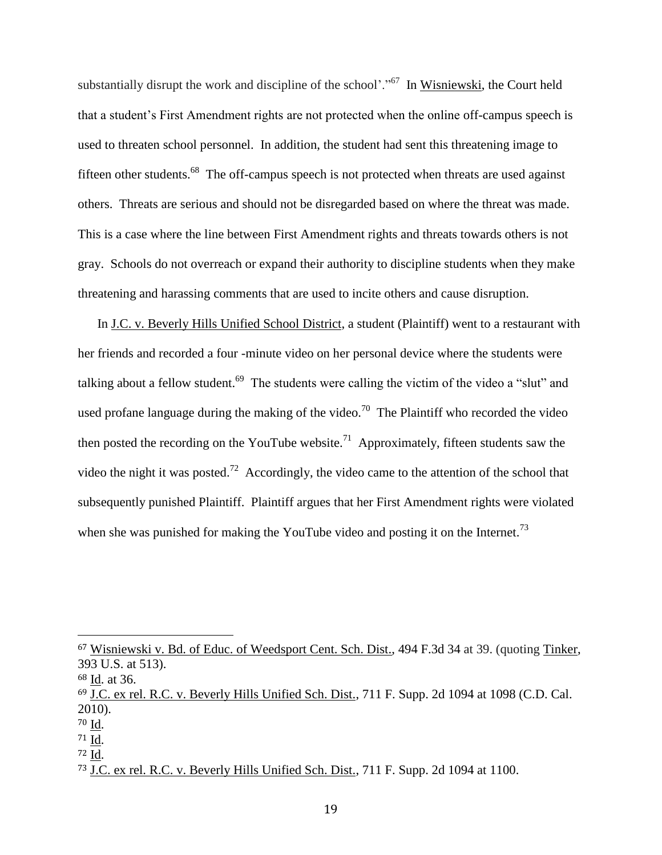substantially disrupt the work and discipline of the school'."<sup>67</sup> In Wisniewski, the Court held that a student's First Amendment rights are not protected when the online off-campus speech is used to threaten school personnel. In addition, the student had sent this threatening image to fifteen other students.<sup>68</sup> The off-campus speech is not protected when threats are used against others. Threats are serious and should not be disregarded based on where the threat was made. This is a case where the line between First Amendment rights and threats towards others is not gray. Schools do not overreach or expand their authority to discipline students when they make threatening and harassing comments that are used to incite others and cause disruption.

In J.C. v. Beverly Hills Unified School District, a student (Plaintiff) went to a restaurant with her friends and recorded a four -minute video on her personal device where the students were talking about a fellow student.<sup>69</sup> The students were calling the victim of the video a "slut" and used profane language during the making of the video.<sup>70</sup> The Plaintiff who recorded the video then posted the recording on the YouTube website.<sup>71</sup> Approximately, fifteen students saw the video the night it was posted.<sup>72</sup> Accordingly, the video came to the attention of the school that subsequently punished Plaintiff. Plaintiff argues that her First Amendment rights were violated when she was punished for making the YouTube video and posting it on the Internet.<sup>73</sup>

l

<sup>71</sup> Id.

<sup>72</sup> Id.

<sup>67</sup> Wisniewski v. Bd. of Educ. of Weedsport Cent. Sch. Dist., 494 F.3d 34 at 39. (quoting [Tinker,](https://1.next.westlaw.com/Link/Document/FullText?findType=Y&serNum=1969132915&pubNum=708&originationContext=document&transitionType=DocumentItem&contextData=(sc.Search)) [393 U.S. at 513\).](https://1.next.westlaw.com/Link/Document/FullText?findType=Y&serNum=1969132915&pubNum=708&originationContext=document&transitionType=DocumentItem&contextData=(sc.Search)) 

<sup>68</sup> Id. at 36.

<sup>69</sup> J.C. ex rel. R.C. v. Beverly Hills Unified Sch. Dist., 711 F. Supp. 2d 1094 at 1098 (C.D. Cal. 2010).

<sup>70</sup> Id.

<sup>73</sup> J.C. ex rel. R.C. v. Beverly Hills Unified Sch. Dist., 711 F. Supp. 2d 1094 at 1100.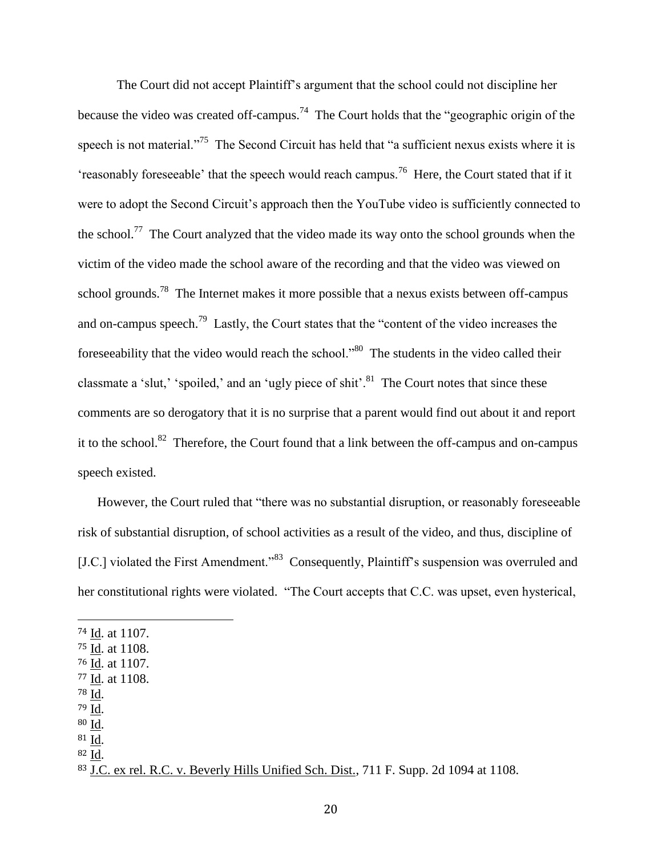The Court did not accept Plaintiff's argument that the school could not discipline her because the video was created off-campus.<sup>74</sup> The Court holds that the "geographic origin of the speech is not material."<sup>75</sup> The Second Circuit has held that "a sufficient nexus exists where it is 'reasonably foreseeable' that the speech would reach campus.<sup>76</sup> Here, the Court stated that if it were to adopt the Second Circuit's approach then the YouTube video is sufficiently connected to the school.<sup>77</sup> The Court analyzed that the video made its way onto the school grounds when the victim of the video made the school aware of the recording and that the video was viewed on school grounds.<sup>78</sup> The Internet makes it more possible that a nexus exists between off-campus and on-campus speech.<sup>79</sup> Lastly, the Court states that the "content of the video increases the foreseeability that the video would reach the school."<sup>80</sup> The students in the video called their classmate a 'slut,' 'spoiled,' and an 'ugly piece of shit'.<sup>81</sup> The Court notes that since these comments are so derogatory that it is no surprise that a parent would find out about it and report it to the school.<sup>82</sup> Therefore, the Court found that a link between the off-campus and on-campus speech existed.

However, the Court ruled that "there was no substantial disruption, or reasonably foreseeable risk of substantial disruption, of school activities as a result of the video, and thus, discipline of [J.C.] violated the First Amendment."<sup>83</sup> Consequently, Plaintiff's suspension was overruled and her constitutional rights were violated. "The Court accepts that C.C. was upset, even hysterical,

<sup>78</sup> Id.

- <sup>79</sup> Id.
- <sup>80</sup> Id. <sup>81</sup> Id.
- <sup>82</sup> Id.

<sup>74</sup> Id. at 1107.

<sup>75</sup> Id. at 1108.

<sup>76</sup> Id. at 1107.

<sup>77</sup> Id. at 1108.

<sup>83</sup> J.C. ex rel. R.C. v. Beverly Hills Unified Sch. Dist., 711 F. Supp. 2d 1094 at 1108.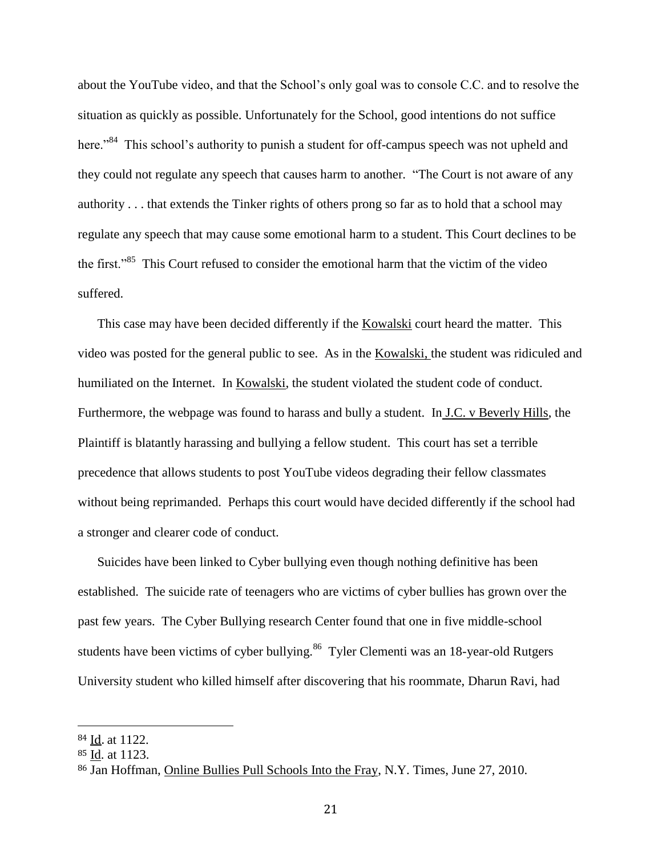about the YouTube video, and that the School's only goal was to console C.C. and to resolve the situation as quickly as possible. Unfortunately for the School, good intentions do not suffice here."<sup>84</sup> This school's authority to punish a student for off-campus speech was not upheld and they could not regulate any speech that causes harm to another. "The Court is not aware of any authority . . . that extends the Tinker rights of others prong so far as to hold that a school may regulate any speech that may cause some emotional harm to a student. This Court declines to be the first."<sup>85</sup> This Court refused to consider the emotional harm that the victim of the video suffered.

This case may have been decided differently if the Kowalski court heard the matter. This video was posted for the general public to see. As in the Kowalski, the student was ridiculed and humiliated on the Internet. In Kowalski, the student violated the student code of conduct. Furthermore, the webpage was found to harass and bully a student. In J.C. v Beverly Hills, the Plaintiff is blatantly harassing and bullying a fellow student. This court has set a terrible precedence that allows students to post YouTube videos degrading their fellow classmates without being reprimanded. Perhaps this court would have decided differently if the school had a stronger and clearer code of conduct.

Suicides have been linked to Cyber bullying even though nothing definitive has been established. The suicide rate of teenagers who are victims of cyber bullies has grown over the past few years. The Cyber Bullying research Center found that one in five middle-school students have been victims of cyber bullying.<sup>86</sup> Tyler Clementi was an 18-year-old Rutgers University student who killed himself after discovering that his roommate, Dharun Ravi, had

<sup>84</sup> Id. at 1122.

<sup>85</sup> Id. at 1123.

<sup>86</sup> Jan Hoffman, Online Bullies Pull Schools Into the Fray, N.Y. Times, June 27, 2010.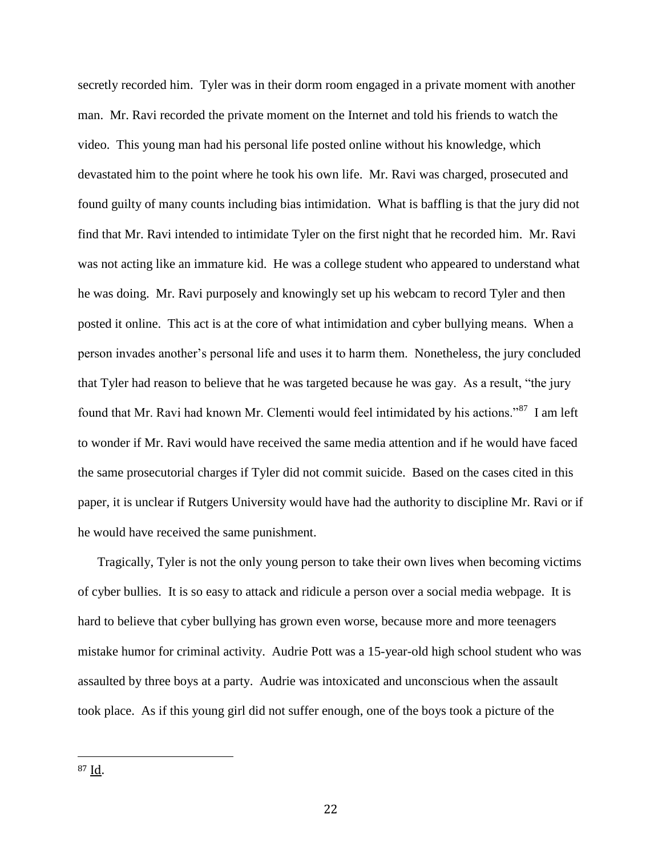secretly recorded him. Tyler was in their dorm room engaged in a private moment with another man. Mr. Ravi recorded the private moment on the Internet and told his friends to watch the video. This young man had his personal life posted online without his knowledge, which devastated him to the point where he took his own life. Mr. Ravi was charged, prosecuted and found guilty of many counts including bias intimidation. What is baffling is that the jury did not find that Mr. Ravi intended to intimidate Tyler on the first night that he recorded him. Mr. Ravi was not acting like an immature kid. He was a college student who appeared to understand what he was doing. Mr. Ravi purposely and knowingly set up his webcam to record Tyler and then posted it online. This act is at the core of what intimidation and cyber bullying means. When a person invades another's personal life and uses it to harm them. Nonetheless, the jury concluded that Tyler had reason to believe that he was targeted because he was gay. As a result, "the jury found that Mr. Ravi had known Mr. Clementi would feel intimidated by his actions."<sup>87</sup> I am left to wonder if Mr. Ravi would have received the same media attention and if he would have faced the same prosecutorial charges if Tyler did not commit suicide. Based on the cases cited in this paper, it is unclear if Rutgers University would have had the authority to discipline Mr. Ravi or if he would have received the same punishment.

Tragically, Tyler is not the only young person to take their own lives when becoming victims of cyber bullies. It is so easy to attack and ridicule a person over a social media webpage. It is hard to believe that cyber bullying has grown even worse, because more and more teenagers mistake humor for criminal activity. Audrie Pott was a 15-year-old high school student who was assaulted by three boys at a party. Audrie was intoxicated and unconscious when the assault took place. As if this young girl did not suffer enough, one of the boys took a picture of the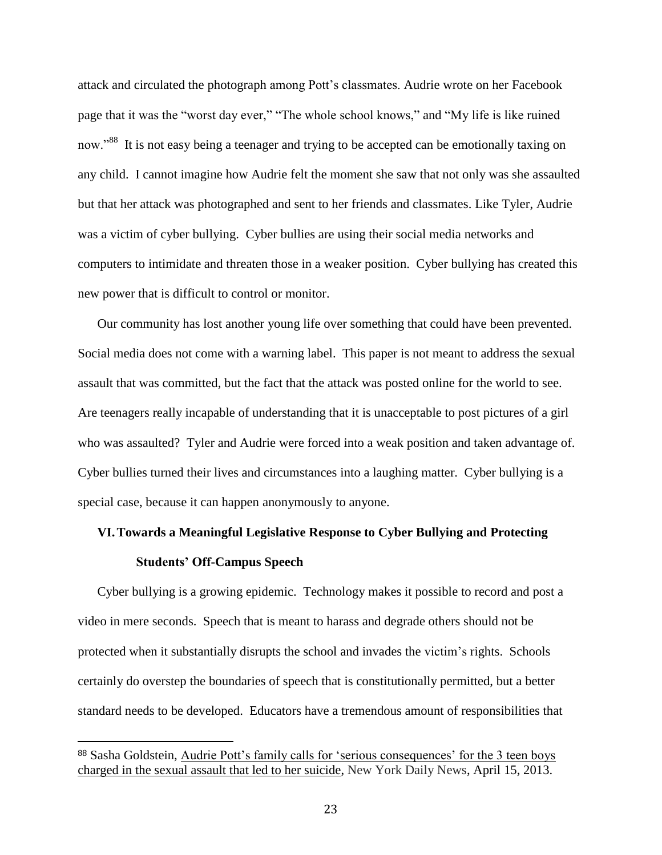attack and circulated the photograph among Pott's classmates. Audrie wrote on her Facebook page that it was the "worst day ever," "The whole school knows," and "My life is like ruined now."<sup>88</sup> It is not easy being a teenager and trying to be accepted can be emotionally taxing on any child. I cannot imagine how Audrie felt the moment she saw that not only was she assaulted but that her attack was photographed and sent to her friends and classmates. Like Tyler, Audrie was a victim of cyber bullying. Cyber bullies are using their social media networks and computers to intimidate and threaten those in a weaker position. Cyber bullying has created this new power that is difficult to control or monitor.

Our community has lost another young life over something that could have been prevented. Social media does not come with a warning label. This paper is not meant to address the sexual assault that was committed, but the fact that the attack was posted online for the world to see. Are teenagers really incapable of understanding that it is unacceptable to post pictures of a girl who was assaulted? Tyler and Audrie were forced into a weak position and taken advantage of. Cyber bullies turned their lives and circumstances into a laughing matter. Cyber bullying is a special case, because it can happen anonymously to anyone.

## **VI.Towards a Meaningful Legislative Response to Cyber Bullying and Protecting Students' Off-Campus Speech**

Cyber bullying is a growing epidemic. Technology makes it possible to record and post a video in mere seconds. Speech that is meant to harass and degrade others should not be protected when it substantially disrupts the school and invades the victim's rights. Schools certainly do overstep the boundaries of speech that is constitutionally permitted, but a better standard needs to be developed. Educators have a tremendous amount of responsibilities that

<sup>88</sup> Sasha Goldstein, Audrie Pott's family calls for 'serious consequences' for the 3 teen boys charged in the sexual assault that led to her suicide, New York Daily News, April 15, 2013.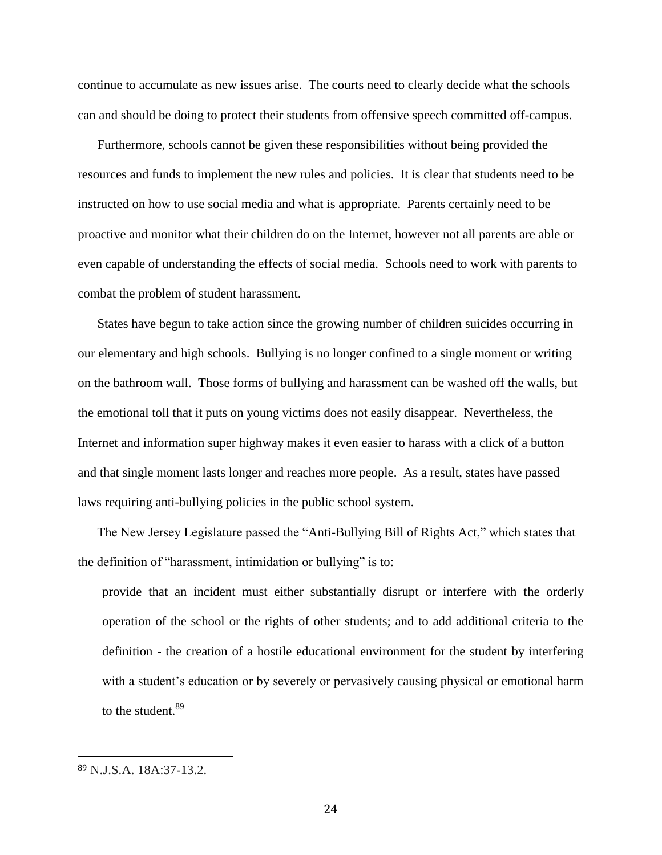continue to accumulate as new issues arise. The courts need to clearly decide what the schools can and should be doing to protect their students from offensive speech committed off-campus.

Furthermore, schools cannot be given these responsibilities without being provided the resources and funds to implement the new rules and policies. It is clear that students need to be instructed on how to use social media and what is appropriate. Parents certainly need to be proactive and monitor what their children do on the Internet, however not all parents are able or even capable of understanding the effects of social media. Schools need to work with parents to combat the problem of student harassment.

States have begun to take action since the growing number of children suicides occurring in our elementary and high schools. Bullying is no longer confined to a single moment or writing on the bathroom wall. Those forms of bullying and harassment can be washed off the walls, but the emotional toll that it puts on young victims does not easily disappear. Nevertheless, the Internet and information super highway makes it even easier to harass with a click of a button and that single moment lasts longer and reaches more people. As a result, states have passed laws requiring anti-bullying policies in the public school system.

The New Jersey Legislature passed the ["Anti-Bullying Bill of Rights Act,](http://www.njleg.state.nj.us/2010/Bills/AL10/122_.PDF)" which states that the definition of "harassment, intimidation or bullying" is to:

provide that an incident must either substantially disrupt or interfere with the orderly operation of the school or the rights of other students; and to add additional criteria to the definition - the creation of a hostile educational environment for the student by interfering with a student's education or by severely or pervasively causing physical or emotional harm to the student.<sup>89</sup>

<sup>89</sup> N.J.S.A. 18A:37-13.2.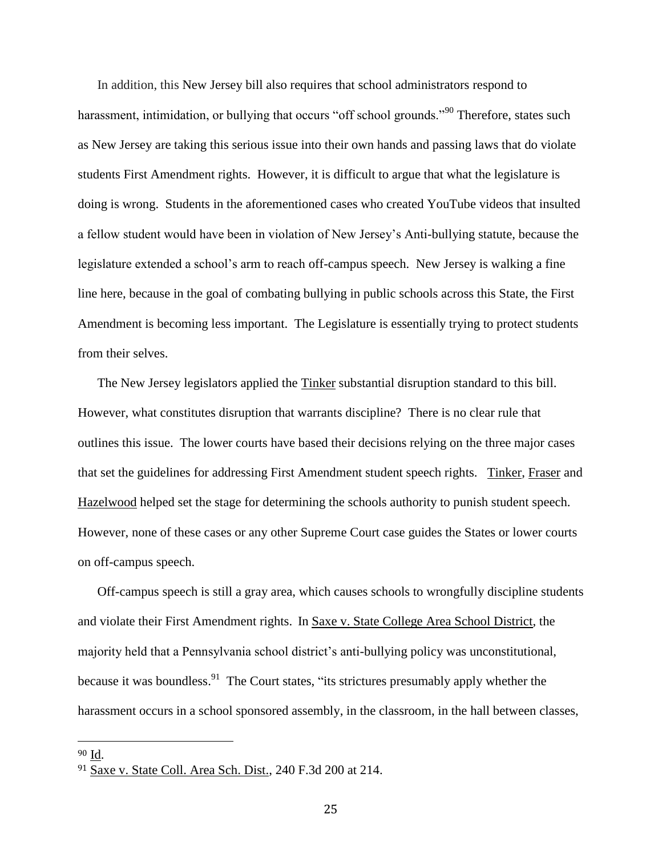In addition, this New Jersey bill also requires that school administrators respond to harassment, intimidation, or bullying that occurs "off school grounds."<sup>90</sup> Therefore, states such as New Jersey are taking this serious issue into their own hands and passing laws that do violate students First Amendment rights. However, it is difficult to argue that what the legislature is doing is wrong. Students in the aforementioned cases who created YouTube videos that insulted a fellow student would have been in violation of New Jersey's Anti-bullying statute, because the legislature extended a school's arm to reach off-campus speech. New Jersey is walking a fine line here, because in the goal of combating bullying in public schools across this State, the First Amendment is becoming less important. The Legislature is essentially trying to protect students from their selves.

The New Jersey legislators applied the Tinker substantial disruption standard to this bill. However, what constitutes disruption that warrants discipline? There is no clear rule that outlines this issue. The lower courts have based their decisions relying on the three major cases that set the guidelines for addressing First Amendment student speech rights. Tinker, Fraser and Hazelwood helped set the stage for determining the schools authority to punish student speech. However, none of these cases or any other Supreme Court case guides the States or lower courts on off-campus speech.

Off-campus speech is still a gray area, which causes schools to wrongfully discipline students and violate their First Amendment rights. In Saxe v. State College Area School District, the majority held that a Pennsylvania school district's anti-bullying policy was unconstitutional, because it was boundless. <sup>91</sup> The Court states, "its strictures presumably apply whether the harassment occurs in a school sponsored assembly, in the classroom, in the hall between classes,

<sup>90</sup> Id.

<sup>91</sup> Saxe v. State Coll. Area Sch. Dist., 240 F.3d 200 at 214.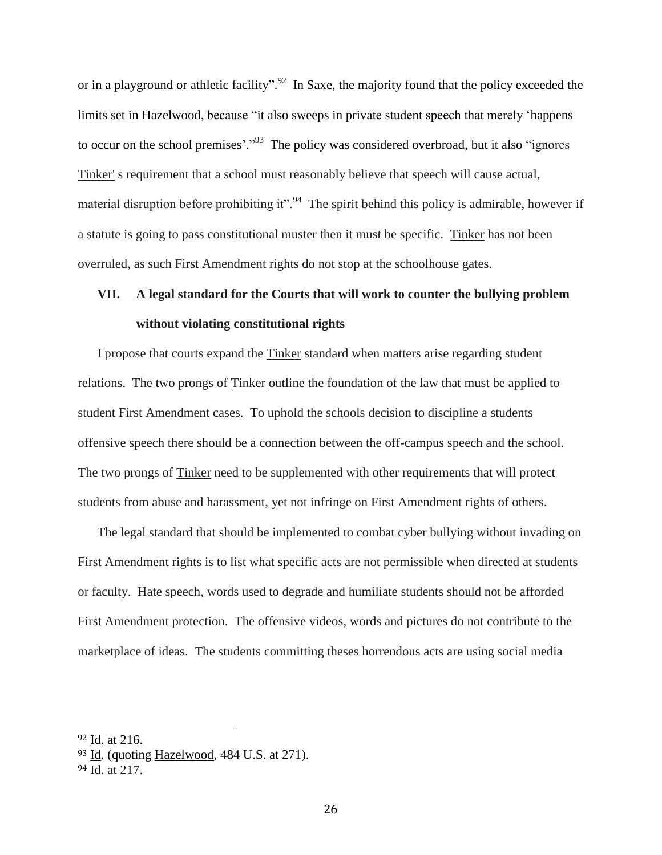or in a playground or athletic facility".<sup>92</sup> In <u>Saxe</u>, the majority found that the policy exceeded the limits set in Hazelwood, because "it also sweeps in private student speech that merely 'happens to occur on the school premises'."<sup>93</sup> The policy was considered overbroad, but it also "ignores" Tinker' s requirement that a school must reasonably believe that speech will cause actual, material disruption before prohibiting it".<sup>94</sup> The spirit behind this policy is admirable, however if a statute is going to pass constitutional muster then it must be specific. Tinker has not been overruled, as such First Amendment rights do not stop at the schoolhouse gates.

### **VII. A legal standard for the Courts that will work to counter the bullying problem without violating constitutional rights**

I propose that courts expand the Tinker standard when matters arise regarding student relations. The two prongs of Tinker outline the foundation of the law that must be applied to student First Amendment cases. To uphold the schools decision to discipline a students offensive speech there should be a connection between the off-campus speech and the school. The two prongs of Tinker need to be supplemented with other requirements that will protect students from abuse and harassment, yet not infringe on First Amendment rights of others.

The legal standard that should be implemented to combat cyber bullying without invading on First Amendment rights is to list what specific acts are not permissible when directed at students or faculty. Hate speech, words used to degrade and humiliate students should not be afforded First Amendment protection. The offensive videos, words and pictures do not contribute to the marketplace of ideas. The students committing theses horrendous acts are using social media

<sup>92</sup> Id. at 216.

<sup>93</sup> Id. (quoting [Hazelwood, 484 U.S. at 271\)](https://a.next.westlaw.com/Link/Document/FullText?findType=Y&serNum=1988007755&pubNum=708&originationContext=document&transitionType=DocumentItem&contextData=(sc.UserEnteredCitation)).

<sup>94</sup> Id. at 217.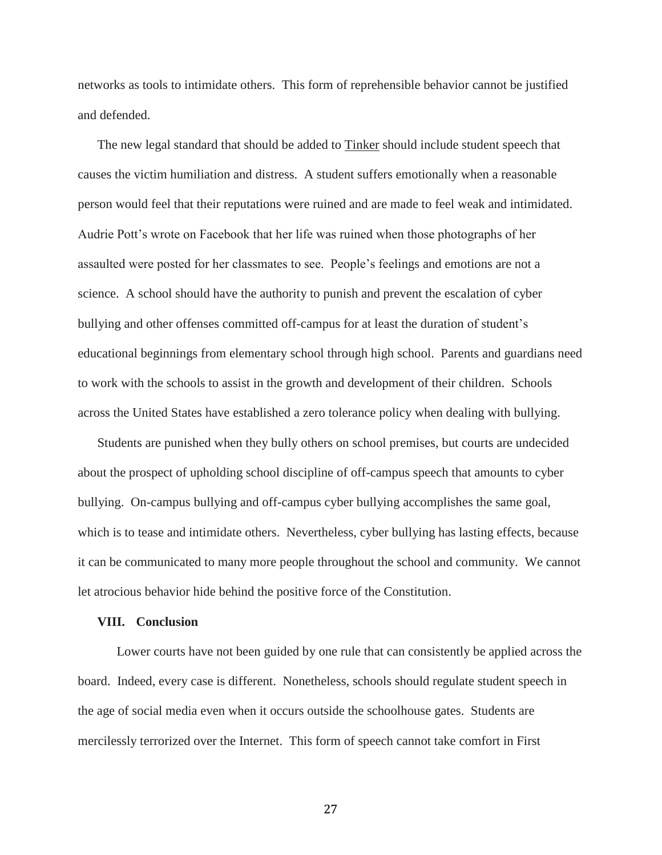networks as tools to intimidate others. This form of reprehensible behavior cannot be justified and defended.

The new legal standard that should be added to **Tinker** should include student speech that causes the victim humiliation and distress. A student suffers emotionally when a reasonable person would feel that their reputations were ruined and are made to feel weak and intimidated. Audrie Pott's wrote on Facebook that her life was ruined when those photographs of her assaulted were posted for her classmates to see. People's feelings and emotions are not a science. A school should have the authority to punish and prevent the escalation of cyber bullying and other offenses committed off-campus for at least the duration of student's educational beginnings from elementary school through high school. Parents and guardians need to work with the schools to assist in the growth and development of their children. Schools across the United States have established a zero tolerance policy when dealing with bullying.

Students are punished when they bully others on school premises, but courts are undecided about the prospect of upholding school discipline of off-campus speech that amounts to cyber bullying. On-campus bullying and off-campus cyber bullying accomplishes the same goal, which is to tease and intimidate others. Nevertheless, cyber bullying has lasting effects, because it can be communicated to many more people throughout the school and community. We cannot let atrocious behavior hide behind the positive force of the Constitution.

#### **VIII. Conclusion**

Lower courts have not been guided by one rule that can consistently be applied across the board. Indeed, every case is different. Nonetheless, schools should regulate student speech in the age of social media even when it occurs outside the schoolhouse gates. Students are mercilessly terrorized over the Internet. This form of speech cannot take comfort in First

27